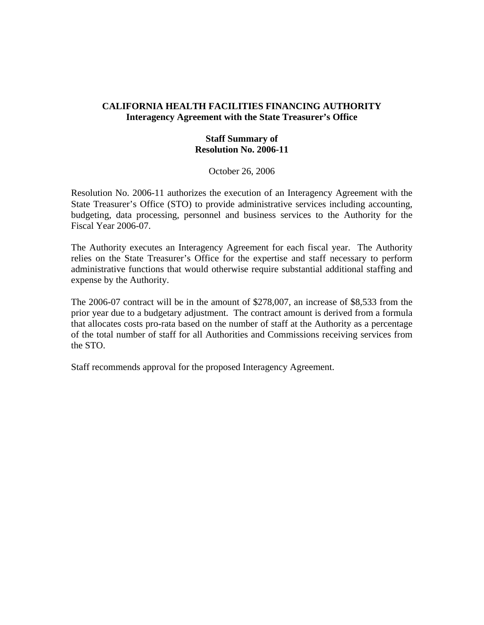## **CALIFORNIA HEALTH FACILITIES FINANCING AUTHORITY Interagency Agreement with the State Treasurer's Office**

## **Staff Summary of Resolution No. 2006-11**

October 26, 2006

Resolution No. 2006-11 authorizes the execution of an Interagency Agreement with the State Treasurer's Office (STO) to provide administrative services including accounting, budgeting, data processing, personnel and business services to the Authority for the Fiscal Year 2006-07.

The Authority executes an Interagency Agreement for each fiscal year. The Authority relies on the State Treasurer's Office for the expertise and staff necessary to perform administrative functions that would otherwise require substantial additional staffing and expense by the Authority.

The 2006-07 contract will be in the amount of \$278,007, an increase of \$8,533 from the prior year due to a budgetary adjustment. The contract amount is derived from a formula that allocates costs pro-rata based on the number of staff at the Authority as a percentage of the total number of staff for all Authorities and Commissions receiving services from the STO.

Staff recommends approval for the proposed Interagency Agreement.